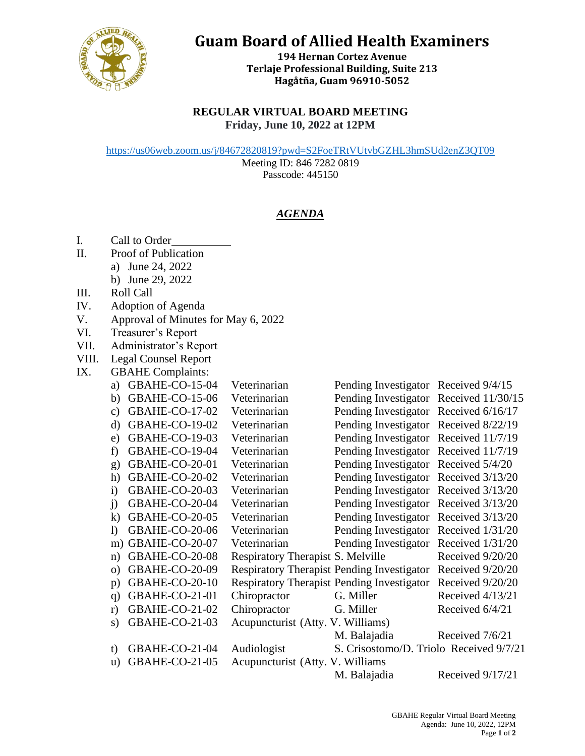

## **Guam Board of Allied Health Examiners**

**194 Hernan Cortez Avenue Terlaje Professional Building, Suite 213 Hagåtña, Guam 96910-5052**

## **REGULAR VIRTUAL BOARD MEETING Friday, June 10, 2022 at 12PM**

<https://us06web.zoom.us/j/84672820819?pwd=S2FoeTRtVUtvbGZHL3hmSUd2enZ3QT09>

Meeting ID: 846 7282 0819 Passcode: 445150

## *AGENDA*

- I. Call to Order
- II. Proof of Publication
	- a) June 24, 2022
	- b) June 29, 2022
- III. Roll Call
- IV. Adoption of Agenda
- V. Approval of Minutes for May 6, 2022
- VI. Treasurer's Report
- VII. Administrator's Report
- VIII. Legal Counsel Report

## IX. GBAHE Complaints:

| a)              | <b>GBAHE-CO-15-04</b> | Veterinarian                      | Pending Investigator Received 9/4/15                        |                  |
|-----------------|-----------------------|-----------------------------------|-------------------------------------------------------------|------------------|
| b)              | <b>GBAHE-CO-15-06</b> | Veterinarian                      | Pending Investigator Received 11/30/15                      |                  |
| $\mathcal{C}$ ) | <b>GBAHE-CO-17-02</b> | Veterinarian                      | Pending Investigator Received 6/16/17                       |                  |
| $\rm d$         | <b>GBAHE-CO-19-02</b> | Veterinarian                      | Pending Investigator Received 8/22/19                       |                  |
| e)              | <b>GBAHE-CO-19-03</b> | Veterinarian                      | Pending Investigator Received 11/7/19                       |                  |
| f)              | GBAHE-CO-19-04        | Veterinarian                      | Pending Investigator Received 11/7/19                       |                  |
| $\mathbf{g}$    | GBAHE-CO-20-01        | Veterinarian                      | Pending Investigator Received 5/4/20                        |                  |
| h)              | GBAHE-CO-20-02        | Veterinarian                      | Pending Investigator Received 3/13/20                       |                  |
| $\mathbf{i}$    | <b>GBAHE-CO-20-03</b> | Veterinarian                      | Pending Investigator Received 3/13/20                       |                  |
| $\ddot{1}$      | GBAHE-CO-20-04        | Veterinarian                      | Pending Investigator Received 3/13/20                       |                  |
| $\bf{k}$        | GBAHE-CO-20-05        | Veterinarian                      | Pending Investigator Received 3/13/20                       |                  |
| $\mathbf{D}$    | GBAHE-CO-20-06        | Veterinarian                      | Pending Investigator Received 1/31/20                       |                  |
|                 | m) GBAHE-CO-20-07     | Veterinarian                      | Pending Investigator Received 1/31/20                       |                  |
| n)              | GBAHE-CO-20-08        | Respiratory Therapist S. Melville |                                                             | Received 9/20/20 |
| $\Omega$        | GBAHE-CO-20-09        |                                   | Respiratory Therapist Pending Investigator Received 9/20/20 |                  |
| p)              | GBAHE-CO-20-10        |                                   | Respiratory Therapist Pending Investigator Received 9/20/20 |                  |
| q)              | GBAHE-CO-21-01        | Chiropractor                      | G. Miller                                                   | Received 4/13/21 |
| r)              | GBAHE-CO-21-02        | Chiropractor                      | G. Miller                                                   | Received 6/4/21  |
| S)              | GBAHE-CO-21-03        | Acupuncturist (Atty. V. Williams) |                                                             |                  |
|                 |                       |                                   | M. Balajadia                                                | Received 7/6/21  |
| t)              | GBAHE-CO-21-04        | Audiologist                       | S. Crisostomo/D. Triolo Received 9/7/21                     |                  |
| u)              | GBAHE-CO-21-05        | Acupuncturist (Atty. V. Williams  |                                                             |                  |
|                 |                       |                                   | M. Balajadia                                                | Received 9/17/21 |